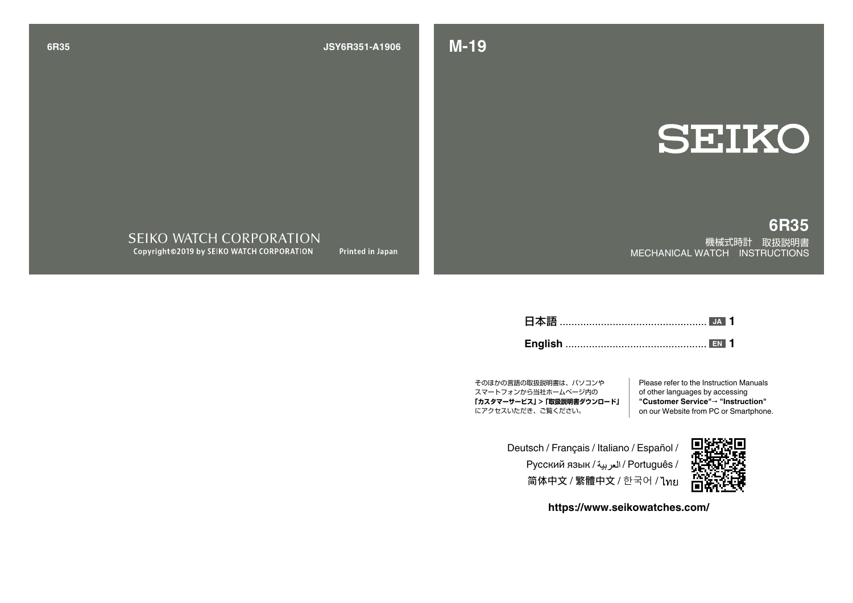## **-19M 1906A351-R6JSY 35R6**

**SEIKO** 

**35R6**

機械式時計 取扱説明書 MECHANICAL WATCH INSTRUCTIONS

SEIKO WATCH CORPORATION Copyright©2019 by SEIKO WATCH CORPORATION Printed in Japan

.................................................. 日本語 **1 JA**

................................................ **English 1 EN**

そのほかの言語の取扱説明書は、パソコンや スマートフォンから当社ホームページ内の 「カスタマーサービス」 > 「取扱説明書ダウンロード」 にアクセスいただき、ご覧ください。

Please refer to the Instruction Manuals of other languages by accessing "Customer Service"→ "Instruction" on our Website from PC or Smartphone.

Deutsch / Français / Italiano / Español / Русский язык / العربية / Português 简体中文 / 繁體中文 / 한국어 / ไทย



https://www.seikowatches.com/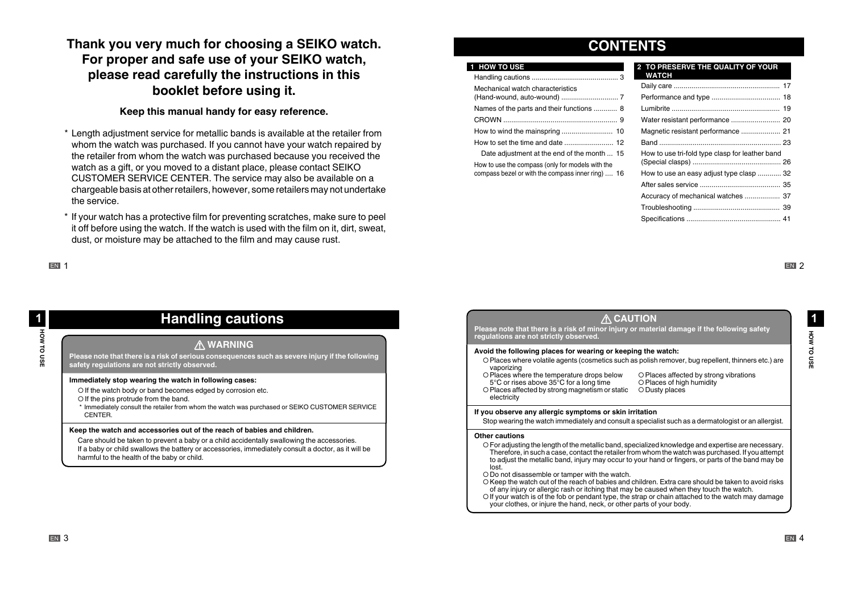## Thank you very much for choosing a SEIKO watch. For proper and safe use of your SEIKO watch, please read carefully the instructions in this **booklet before using it.**

### Keep this manual handy for easy reference.

- \* Length adjustment service for metallic bands is available at the retailer from whom the watch was purchased. If you cannot have your watch repaired by the retailer from whom the watch was purchased because you received the watch as a gift, or you moved to a distant place, please contact SEIKO CUSTOMER SERVICE CENTER. The service may also be available on a chargeable basis at other retailers, however, some retailers may not undertake the service.
- \* If your watch has a protective film for preventing scratches, make sure to peel it off before using the watch. If the watch is used with the film on it, dirt, sweat. dust, or moisture may be attached to the film and may cause rust.

### **IEN 1**

# **cautions Handling**

### **A** WARNING

Please note that there is a risk of serious consequences such as severe injury if the following safety regulations are not strictly observed.

### Immediately stop wearing the watch in following cases:

- O If the watch body or band becomes edged by corrosion etc.
- O If the pins protrude from the band.
- \* Immediately consult the retailer from whom the watch was purchased or SEIKO CUSTOMER SERVICE .CENTER

### **Keep the watch and accessories out of the reach of babies and children.**

Care should be taken to prevent a baby or a child accidentally swallowing the accessories. If a baby or child swallows the battery or accessories, immediately consult a doctor, as it will be harmful to the health of the baby or child.

## **CONTENTS**

### **1 HOW TO USE**

| Mechanical watch characteristics                                                                      |  |
|-------------------------------------------------------------------------------------------------------|--|
| Names of the parts and their functions  8                                                             |  |
|                                                                                                       |  |
|                                                                                                       |  |
|                                                                                                       |  |
| Date adjustment at the end of the month  15                                                           |  |
| How to use the compass (only for models with the<br>compass bezel or with the compass inner ring)  16 |  |
|                                                                                                       |  |

### **2 TO PRESERVE THE QUALITY OF YOUR**

| WATCH                                           |  |
|-------------------------------------------------|--|
|                                                 |  |
|                                                 |  |
|                                                 |  |
|                                                 |  |
|                                                 |  |
|                                                 |  |
| How to use tri-fold type clasp for leather band |  |
|                                                 |  |
| How to use an easy adjust type clasp  32        |  |
|                                                 |  |
| Accuracy of mechanical watches  37              |  |
|                                                 |  |
|                                                 |  |

**EN 2** 

**USE TO MANAGE** 

HOW TO USE

 $\mathbf 1$ 

### **A** CAUTION

Please note that there is a risk of minor injury or material damage if the following safety<br>regulations are not strictly observed.

#### Avoid the following places for wearing or keeping the watch:

- O Places where volatile agents (cosmetics such as polish remover, bug repellent, thinners etc.) are vaporizing
- O Places where the temperature drops below 5°C or rises above 35°C for a long time O Places affected by strong magnetism or static electricity

O Places affected by strong vibrations O Places of high humidity O Dusty places

#### If you observe any allergic symptoms or skin irritation

Stop wearing the watch immediately and consult a specialist such as a dermatologist or an allergist.

#### **Other** cautions

- For adiusting the length of the metallic band, specialized knowledge and expertise are necessary. Therefore, in such a case, contact the retailer from whom the watch was purchased. If you attempt to adjust the metallic band, injury may occur to your hand or fingers, or parts of the band may be lost.
- Do not disassemble or tamper with the watch
- O Keep the watch out of the reach of babies and children. Extra care should be taken to avoid risks of any injury or allergic rash or itching that may be caused when they touch the watch.
- O If your watch is of the fob or pendant type, the strap or chain attached to the watch may damage your clothes, or injure the hand, neck, or other parts of your body.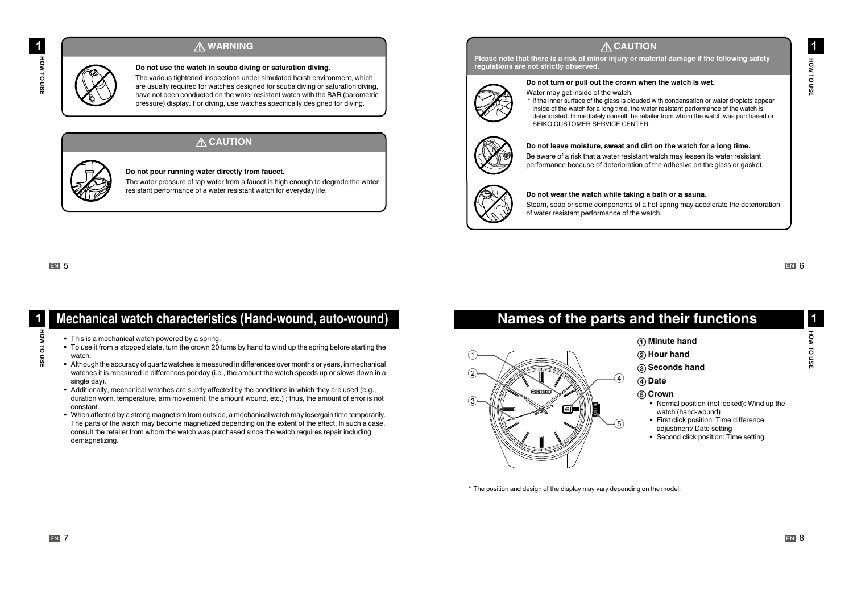### **A WARNING**

Do not use the watch in scuba diving or saturation diving. The various tightened inspections under simulated harsh environment, which are usually required for watches designed for scuba diving or saturation diving. have not been conducted on the water resistant watch with the BAR (barometric pressure) display. For diving, use watches specifically designed for diving.



### **A CAUTION**

Do not pour running water directly from faucet.

The water pressure of tap water from a faucet is high enough to degrade the water resistant performance of a water resistant watch for everyday life.

**EN 5** 

### Mechanical watch characteristics (Hand-wound, auto-wound) **USE TO A ACH** HOW TO USE • This is a mechanical watch powered by a spring.

- To use it from a stopped state, turn the crown 20 turns by hand to wind up the spring before starting the .watch
- Although the accuracy of quartz watches is measured in differences over months or years, in mechanical watches it is measured in differences per day (i.e., the amount the watch speeds up or slows down in a single day).
- Additionally, mechanical watches are subtly affected by the conditions in which they are used (e.g., duration worn, temperature, arm movement, the amount wound, etc.); thus, the amount of error is not .constant
- When affected by a strong magnetism from outside, a mechanical watch may lose/gain time temporarily. The parts of the watch may become magnetized depending on the extent of the effect. In such a case, consult the retailer from whom the watch was purchased since the watch requires repair including demagnetizing.

## **A CAUTION**

Please note that there is a risk of minor injury or material damage if the following safety regulations are not strictly observed.



### Do not turn or pull out the crown when the watch is wet.

Water may get inside of the watch

\* If the inner surface of the glass is clouded with condensation or water droplets appear inside of the watch for a long time, the water resistant performance of the watch is  $\alpha$  deteriorated. Immediately consult the retailer from whom the watch was purchased or SEIKO CUSTOMER SERVICE CENTER.



### Do not leave moisture, sweat and dirt on the watch for a long time.

Be aware of a risk that a water resistant watch may lessen its water resistant nerformance because of deterioration of the adhesive on the glass or gasket



#### Do not wear the watch while taking a bath or a sauna.

Steam, soap or some components of a hot spring may accelerate the deterioration of water resistant performance of the watch.

EN<sub>6</sub>

**USE TO HOW1**

HOW TO USE

 $\blacktriangleleft$ 

## **Names of the parts and their functions**



### **h** Minute hand

## $\Omega$  Hour hand

**(3)** Seconds hand

**(4)** Date

### $(5)$  Crown

- Normal position (not locked): Wind up the watch (hand-wound)
- First click position: Time difference adjustment/ Date setting
- Second click position: Time setting

\* The position and design of the display may vary depending on the model.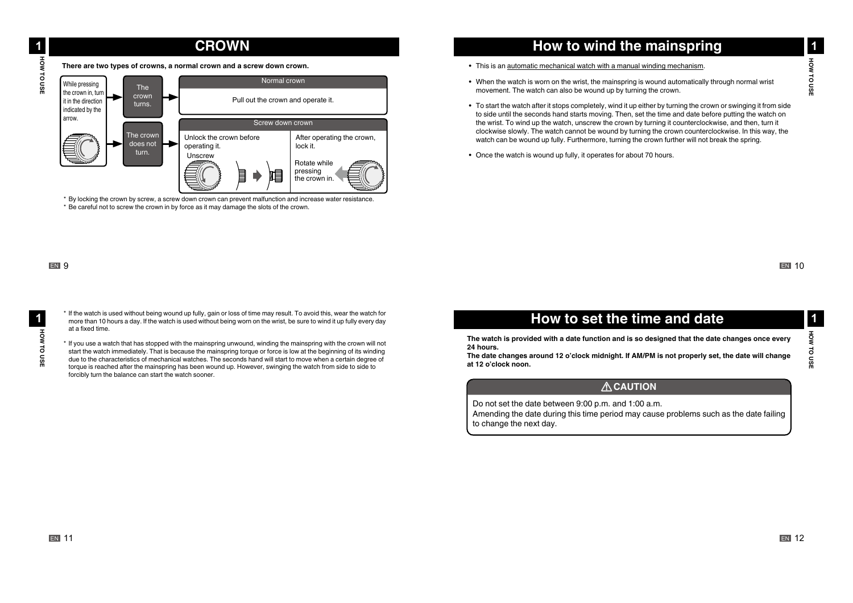## **CROWN**

There are two types of crowns, a normal crown and a screw down crown.



\* By locking the crown by screw, a screw down crown can prevent malfunction and increase water resistance \* Be careful not to screw the crown in by force as it may damage the slots of the crown.

### EN<sub>9</sub>

\* If the watch is used without being wound up fully, gain or loss of time may result. To avoid this, wear the watch for more than 10 hours a day. If the watch is used without being worn on the wrist, be sure to wind it up fully every day at a fixed time.

\* If you use a watch that has stopped with the mainspring unwound, winding the mainspring with the crown will not start the watch immediately. That is because the mainspring torque or force is low at the beginning of its winding due to the characteristics of mechanical watches. The seconds hand will start to move when a certain degree of torque is reached after the mainspring has been wound up. However, swinging the watch from side to side to forcibly turn the balance can start the watch sooner.

## **How to wind the mainspring**

- This is an automatic mechanical watch with a manual winding mechanism.
- When the watch is worn on the wrist, the mainspring is wound automatically through normal wrist . movement. The watch can also be wound up by turning the crown.
- To start the watch after it stops completely, wind it up either by turning the crown or swinging it from side to side until the seconds hand starts moving. Then, set the time and date before putting the watch on the wrist. To wind up the watch, unscrew the crown by turning it counterclockwise, and then, turn it clockwise slowly. The watch cannot be wound by turning the crown counterclockwise. In this way, the watch can be wound up fully. Furthermore, turning the crown further will not break the spring.
- Once the watch is wound up fully, it operates for about 70 hours.

### **EN 10**

## **How to set the time and date**

The watch is provided with a date function and is so designed that the date changes once every 24 hours.

The date changes around 12 o'clock midnight. If AM/PM is not properly set, the date will change at 12 o'clock noon.

### **ACAUTION**

Do not set the date between 9:00 p.m. and 1:00 a.m. Amending the date during this time period may cause problems such as the date failing to change the next day.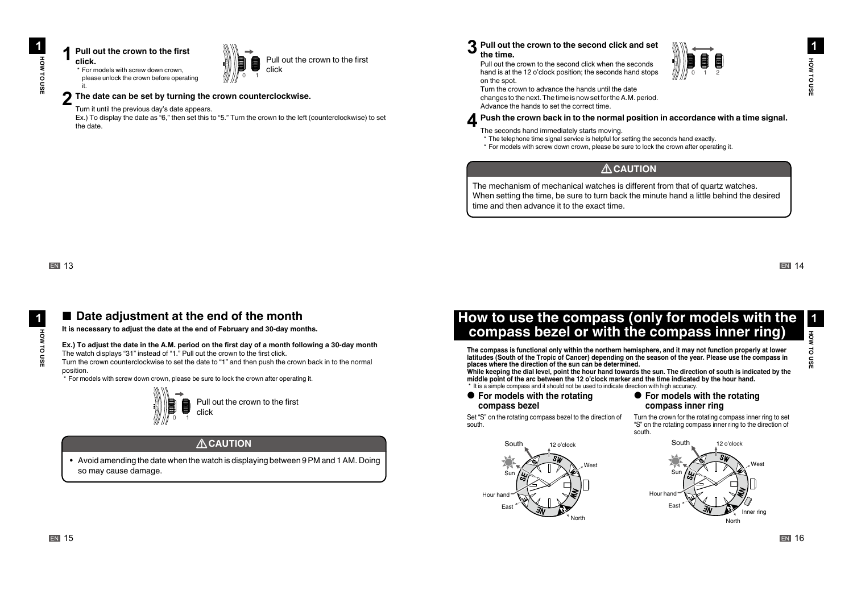#### **Pull out the crown to the first 1 .click** \* For models with screw down crown.

.it



Pull out the crown to the first click

#### The date can be set by turning the crown counterclockwise. **2**

Turn it until the previous day's date appears.

Ex.) To display the date as "6," then set this to "5." Turn the crown to the left (counterclockwise) to set the date

#### Pull out the crown to the second click and set **3** the time.

Pull out the crown to the second click when the seconds hand is at the 12 o'clock position; the seconds hand stops on the spot.



Turn the crown to advance the hands until the date .changes to the next. The time is now set for the A M, period. Advance the hands to set the correct time.

Push the crown back in to the normal position in accordance with a time signal. **4**

The seconds hand immediately starts moving.

- \* The telephone time signal service is helpful for setting the seconds hand exactly.
- \* For models with screw down crown, please be sure to lock the crown after operating it.

### b**CAUTION**

The mechanism of mechanical watches is different from that of quartz watches. When setting the time, be sure to turn back the minute hand a little behind the desired time and then advance it to the exact time.

**USE TO A ACH** 

**LO QSI** 

 $\blacktriangleleft$ **HOW** 

### ■ Date adjustment at the end of the month

It is necessary to adjust the date at the end of February and 30-day months.

#### Ex.) To adjust the date in the A.M. period on the first day of a month following a 30-day month

The watch displays "31" instead of "1." Pull out the crown to the first click.

Turn the crown counterclockwise to set the date to "1" and then push the crown back in to the normal .position

 $\cdot$  For models with screw down crown, please be sure to lock the crown after operating it.



### **ACAUTION**

• Avoid amending the date when the watch is displaying between 9 PM and 1 AM. Doing so may cause damage.

## How to use the compass (only for models with the **compass bezel or with the compass inner ring)**

The compass is functional only within the northern hemisphere, and it may not function properly at lower latitudes (South of the Tropic of Cancer) depending on the season of the year. Please use the compass in places where the direction of the sun can be determined.

While keeping the dial level, point the hour hand towards the sun. The direction of south is indicated by the middle point of the arc between the 12 o'clock marker and the time indicated by the hour hand. \* It is a simple compass and it should not be used to indicate direction with high accuracy.

.south

**• For models with the rotating bezel compass**

#### **• For models with the rotating** compass inner ring

Set "S" on the rotating compass bezel to the direction of south.



Turn the crown for the rotating compass inner ring to set "S" on the rotating compass inner ring to the direction of



**USE TO MANAGE** 

ЖOН

**TO USI**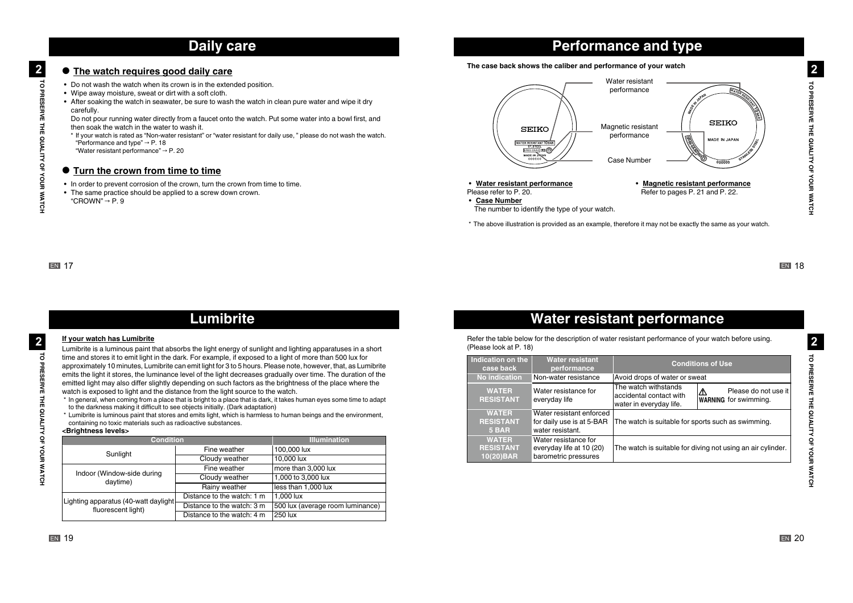## **Daily care**

### **• The watch requires good daily care**

- Do not wash the watch when its crown is in the extended position.
- Wipe away moisture, sweat or dirt with a soft cloth.
- After soaking the watch in seawater, be sure to wash the watch in clean pure water and wipe it dry .carefully

Do not pour running water directly from a faucet onto the watch. Put some water into a bowl first, and then soak the watch in the water to wash it.

.watch the watch is rated as "Non-water resistant" or "water resistant for daily use, " please do not wash the watch. "Performance and type"  $\rightarrow$  P 18

"Water resistant performance"  $\rightarrow$  P. 20

#### $\bullet$  Turn the crown from time to time

- In order to prevent corrosion of the crown, turn the crown from time to time.
- The same practice should be applied to a screw down crown.

" $CROWN" \rightarrow P.9$ 

#### The case back shows the caliber and performance of your watch



**Performance and type** 

**• Water resistant performance** Please refer to P. 20.

**• Magnetic resistant performance** Refer to pages P. 21 and P. 22.

• Case **Number** 

- The number to identify the type of your watch.
- \* The above illustration is provided as an example, therefore it may not be exactly the same as your watch.

**EN 17** 

## **Lumibrite**

#### **If your watch has Lumibrite**

Lumibrite is a luminous paint that absorbs the light energy of sunlight and lighting apparatuses in a short time and stores it to emit light in the dark. For example, if exposed to a light of more than 500 lux for approximately 10 minutes. Lumibrite can emit light for 3 to 5 hours. Please note, however, that, as Lumibrite emits the light it stores, the luminance level of the light decreases gradually over time. The duration of the emitted light may also differ slightly depending on such factors as the brightness of the place where the watch is exposed to light and the distance from the light source to the watch.

- \* In general, when coming from a place that is bright to a place that is dark, it takes human eyes some time to adapt to the darkness making it difficult to see objects initially. (Dark adaptation)
- 
- \* Lumibrite is luminous paint that stores and emits light, which is harmless to human beings and the environment, containing no toxic materials such as radioactive substances.

#### <Brightness levels>

| <b>Condition</b>                      |                            | <b>Illumination</b>              |  |
|---------------------------------------|----------------------------|----------------------------------|--|
| Sunlight                              | Fine weather               | 100,000 lux                      |  |
|                                       | Cloudy weather             | 10.000 lux                       |  |
| Indoor (Window-side during            | Fine weather               | more than 3,000 lux              |  |
| daytime)                              | Cloudy weather             | 1,000 to 3,000 lux               |  |
|                                       | Rainy weather              | lless than 1,000 lux             |  |
| Lighting apparatus (40-watt daylight- | Distance to the watch: 1 m | 1.000 lux                        |  |
| fluorescent light)                    | Distance to the watch: 3 m | 500 lux (average room luminance) |  |
|                                       | Distance to the watch: 4 m | 1250 lux                         |  |

# **Water resistant performance**

. Refer the table below for the description of water resistant performance of your watch before using.  $(Please look at P. 18)$ 

| Indication on the<br>case back                | <b>Water resistant</b><br>performance                                     |                                                                            | <b>Conditions of Use</b>                                    |
|-----------------------------------------------|---------------------------------------------------------------------------|----------------------------------------------------------------------------|-------------------------------------------------------------|
| <b>No indication</b>                          | Non-water resistance                                                      | Avoid drops of water or sweat                                              |                                                             |
| <b>WATER</b><br><b>RESISTANT</b>              | Water resistance for<br>everyday life                                     | The watch withstands<br>accidental contact with<br>water in everyday life. | Please do not use it<br>Δ<br><b>WARNING</b> for swimming.   |
| <b>WATER</b><br><b>RESISTANT</b><br>5 BAR     | Water resistant enforced<br>for daily use is at 5-BAR<br>water resistant. | The watch is suitable for sports such as swimming.                         |                                                             |
| <b>WATER</b><br><b>RESISTANT</b><br>10(20)BAR | Water resistance for<br>everyday life at 10 (20)<br>barometric pressures  |                                                                            | The watch is suitable for diving not using an air cylinder. |

**EN 18** 

TO PRESERVE THE QUALITY OF YOUR WATCH

TO PRESERVE THE QUALITY OF YOUR WATCH

 $\overline{\mathbf{2}}$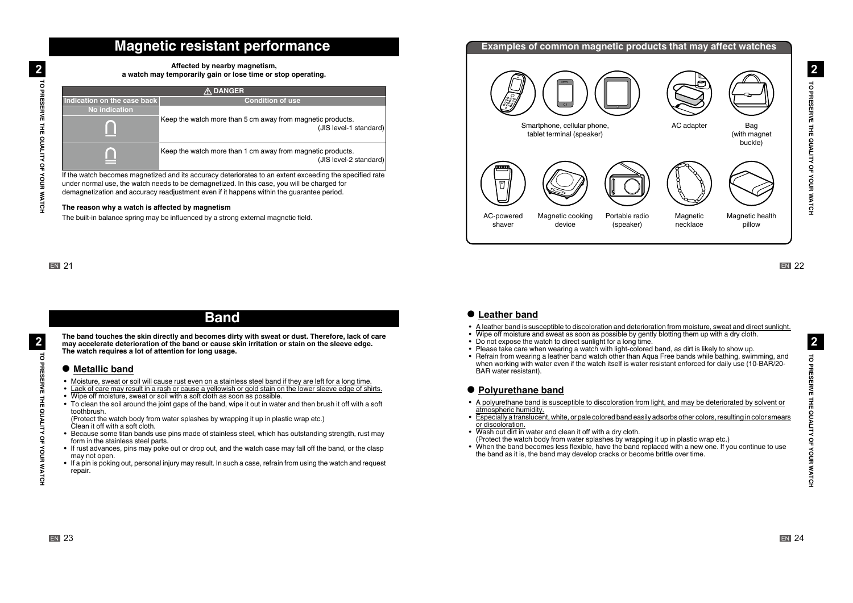## **Magnetic resistant performance**

| Affected by nearby magnetism,                                |
|--------------------------------------------------------------|
| a watch may temporarily gain or lose time or stop operating. |

| <b>A DANGER</b>                                                                                           |                                                                                      |  |
|-----------------------------------------------------------------------------------------------------------|--------------------------------------------------------------------------------------|--|
| Indication on the case back                                                                               | <b>Condition of use</b>                                                              |  |
| <b>No indication</b>                                                                                      |                                                                                      |  |
|                                                                                                           | Keep the watch more than 5 cm away from magnetic products.<br>(JIS level-1 standard) |  |
| m                                                                                                         | Keep the watch more than 1 cm away from magnetic products.<br>(JIS level-2 standard) |  |
| f tha watalo loggangga mgangtimad and ito gagwagy datayigyatag ta an aytant aygagding tha gnagifiad yata. |                                                                                      |  |

If the watch becomes magnetized and its accuracy deteriorates to an extent exceeding the specified rate under normal use, the watch needs to be demagnetized. In this case, you will be charged for demagnetization and accuracy readjustment even if it happens within the quarantee period.

#### The reason why a watch is affected by magnetism

The built-in balance spring may be influenced by a strong external magnetic field.

**WATCH ROBESERVE THE QUALITY OF YOUR WATCH** 

TO PRESERVE THE QUALITY OF YOUR WATCH

 $\overline{2}$ 

## **Band**

The band touches the skin directly and becomes dirty with sweat or dust. Therefore, lack of care may accelerate deterioration of the band or cause skin irritation or stain on the sleeve edge. The watch requires a lot of attention for long usage.

### ● Metallic band

- Moisture, sweat or soil will cause rust even on a stainless steel band if they are left for a long time.
- Lack of care may result in a rash or cause a yellowish or gold stain on the lower sleeve edge of shirts.
- Wipe off moisture, sweat or soil with a soft cloth as soon as possible.
- To clean the soil around the ioint gaps of the band, wipe it out in water and then brush it off with a soft toothbrush.

(Protect the watch body from water splashes by wrapping it up in plastic wrap etc.) Clean it off with a soft cloth.

- Because some titan bands use pins made of stainless steel, which has outstanding strength, rust may form in the stainless steel parts.
- If rust advances, pins may poke out or drop out, and the watch case may fall off the band, or the clasp may not open.
- If a pin is poking out, personal injury may result. In such a case, refrain from using the watch and request .repair

### **Examples of common magnetic products that may affect watches** AC adapter Bag Smartphone, cellular phone, tablet terminal (speaker) (with magnet buckle) 同 AC-powered Magnetic cooking Portable radio Magnetic Magnetic health (speaker) necklace pillow shaver device

**EN 22** 

### $\bullet$  Leather band

- A leather band is susceptible to discoloration and deterioration from moisture, sweat and direct sunlight.
- Wipe off moisture and sweat as soon as possible by gently blotting them up with a dry cloth.
- Do not expose the watch to direct sunlight for a long time.
- Please take care when wearing a watch with light-colored band, as dirt is likely to show up.
- Refrain from wearing a leather band watch other than Aqua Free bands while bathing, swimming, and when working with water even if the watch itself is water resistant enforced for daily use (10-BAR/20-BAR water resistant)

### $\bullet$  Polyurethane band

- A polyurethane band is susceptible to discoloration from light, and may be deteriorated by solvent or atmospheric humidity.
- Especially a translucent, white, or pale colored band easily adsorbs other colors, resulting in color smears or discoloration.
- Wash out dirt in water and clean it off with a dry cloth. (Protect the watch body from water splashes by wrapping it up in plastic wrap etc.)
- When the band becomes less flexible, have the band replaced with a new one. If you continue to use the band as it is, the band may develop cracks or become brittle over time.

 $\overline{2}$ 

TO PRESERVE THE QUALITY OF YOUR WATCH

TO PRESERVE THE QUALITY OF YOUR WATCH

 $\overline{2}$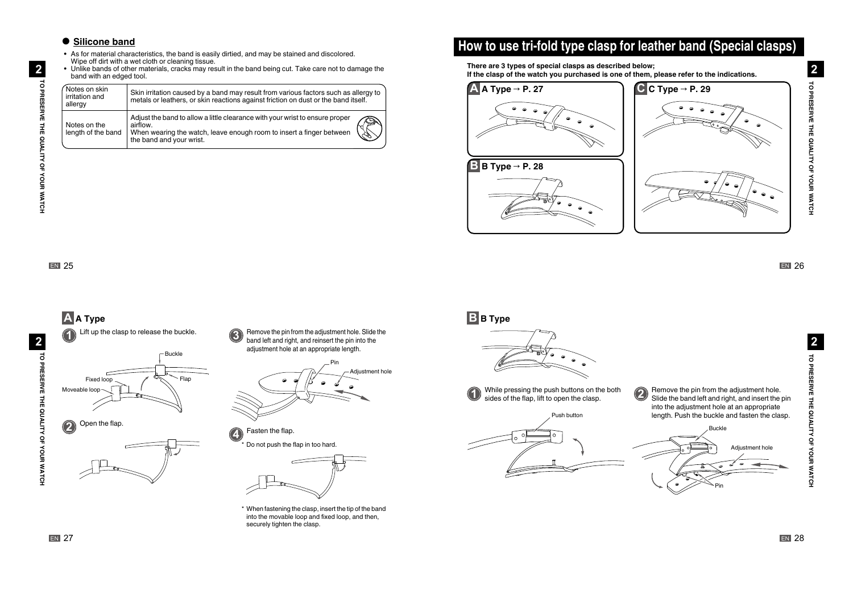### $\bullet$  Silicone band

- As for material characteristics, the band is easily dirtied, and may be stained and discolored. Wipe off dirt with a wet cloth or cleaning tissue.
- Unlike bands of other materials, cracks may result in the band being cut. Take care not to damage the band with an edged tool.

| Notes on skin<br>irritation and<br>allergy | Skin irritation caused by a band may result from various factors such as allergy to<br>metals or leathers, or skin reactions against friction on dust or the band itself.                    |  |
|--------------------------------------------|----------------------------------------------------------------------------------------------------------------------------------------------------------------------------------------------|--|
| Notes on the<br>length of the band         | Adjust the band to allow a little clearance with your wrist to ensure proper<br>airflow.<br>When wearing the watch, leave enough room to insert a finger between<br>the band and your wrist. |  |

# How to use tri-fold type clasp for leather band (Special clasps)

There are 3 types of special clasps as described below; If the clasp of the watch you purchased is one of them, please refer to the indications.



**EN** 25

**WATCH ROBESERVE THE QUALITY OF YOUR WATCH** 

TO PRESERVE THE QUALITY OF YOUR WATCH

 $\overline{\mathbf{2}}$ 



\* When fastening the clasp, insert the tip of the band into the movable loop and fixed loop, and then, securely tighten the clasp.

Adjustment hole

**B B** Type



While pressing the push buttons on the both **1** sides of the flap, lift to open the clasp



Remove the pin from the adjustment hole. **2** Slide the band left and right, and insert the pin into the adjustment hole at an appropriate length. Push the buckle and fasten the clasp. Buckle

Pin

Adjustment hole

 $\overline{2}$ 

ಕ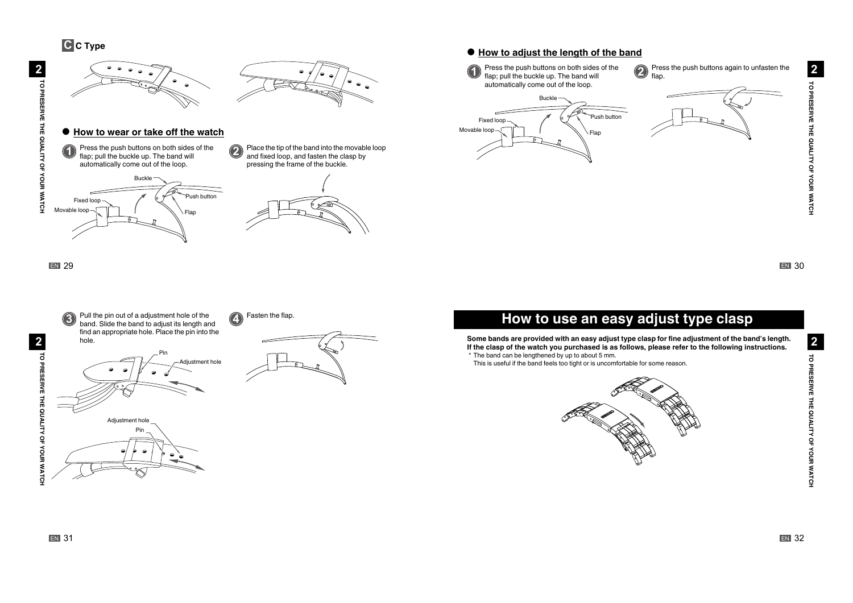**C C** Type



band. Slide the band to adjust its length and find an appropriate hole. Place the pin into the

> Pin Adjustment hole

Pin

djustment hole

hole.

### $\bullet$  How to adjust the length of the band

Press the push buttons on both sides of the **1** flap; pull the buckle up. The band will automatically come out of the loop.

Press the push buttons again to unfasten the **2** flap.



**EN 30** 

## **How to use an easy adjust type clasp**

Some bands are provided with an easy adjust type clasp for fine adjustment of the band's length. If the clasp of the watch you purchased is as follows, please refer to the following instructions. \* The band can be lengthened by up to about 5 mm.

This is useful if the band feels too tight or is uncomfortable for some reason.



TO PRESERVE THE QUALITY OF YOUR WATCH

TO PRESERVE THE QUALITY OF YOUR WATCH

 $\overline{2}$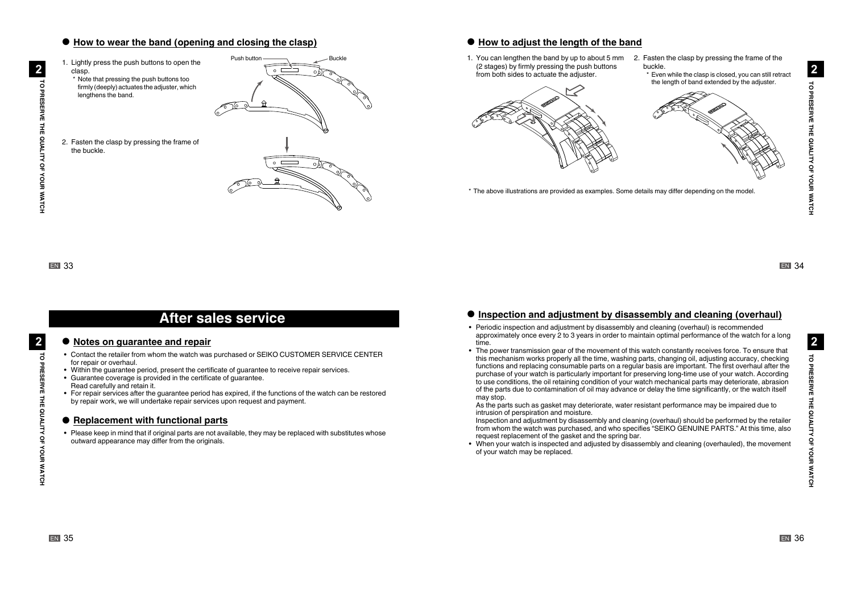### $\bullet$  How to wear the band (opening and closing the clasp)

1. Lightly press the push buttons to open the Push button .clasp \* Note that pressing the push buttons too firmly (deeply) actuates the adjuster, which lengthens the band. 2. Fasten the clasp by pressing the frame of the buckle.

### $\bullet$  How to adjust the length of the band

1. You can lengthen the band by up to about 5 mm  $\,$  2. Fasten the clasp by pressing the frame of the  $(2 \text{ stages})$  by firmly pressing the push buttons from both sides to actuate the adjuster.



- buckle.
	- \* Even while the clasp is closed, you can still retract the length of band extended by the adjuster

 $\mathbf{2}$ 

ā

**WATCH ROBESERVE THE QUALITY OF YOUR WATCH** 

TO PRESERVE THE QUALITY OF YOUR WATCH

 $\overline{2}$ 

## **After sales service**

### **• Notes on quarantee and repair**

- Contact the retailer from whom the watch was purchased or SEIKO CUSTOMER SERVICE CENTER for repair or overhaul.
- Within the quarantee period, present the certificate of quarantee to receive repair services.
- Guarantee coverage is provided in the certificate of quarantee. Read carefully and retain it.
- For repair services after the quarantee period has expired, if the functions of the watch can be restored by repair work, we will undertake repair services upon request and payment.

### $\bullet$  **Replacement with functional parts**

• Please keep in mind that if original parts are not available, they may be replaced with substitutes whose outward appearance may differ from the originals.

### $\bullet$  Inspection and adjustment by disassembly and cleaning (overhaul)

\* The above illustrations are provided as examples. Some details may differ depending on the model

- Periodic inspection and adjustment by disassembly and cleaning (overhaul) is recommended approximately once every 2 to 3 years in order to maintain optimal performance of the watch for a long .time
- The power transmission gear of the movement of this watch constantly receives force. To ensure that this mechanism works properly all the time, washing parts, changing oil, adjusting accuracy, checking functions and replacing consumable parts on a regular basis are important. The first overhaul after the purchase of your watch is particularly important for preserving long-time use of your watch. According to use conditions, the oil retaining condition of your watch mechanical parts may deteriorate, abrasion of the parts due to contamination of oil may advance or delay the time significantly, or the watch itself may stop.

As the parts such as gasket may deteriorate, water resistant performance may be impaired due to intrusion of perspiration and moisture.

Inspection and adjustment by disassembly and cleaning (overhaul) should be performed by the retailer from whom the watch was purchased, and who specifies "SEIKO GENUINE PARTS." At this time, also request replacement of the gasket and the spring bar.

• When your watch is inspected and adjusted by disassembly and cleaning (overhauled), the movement of your watch may be replaced.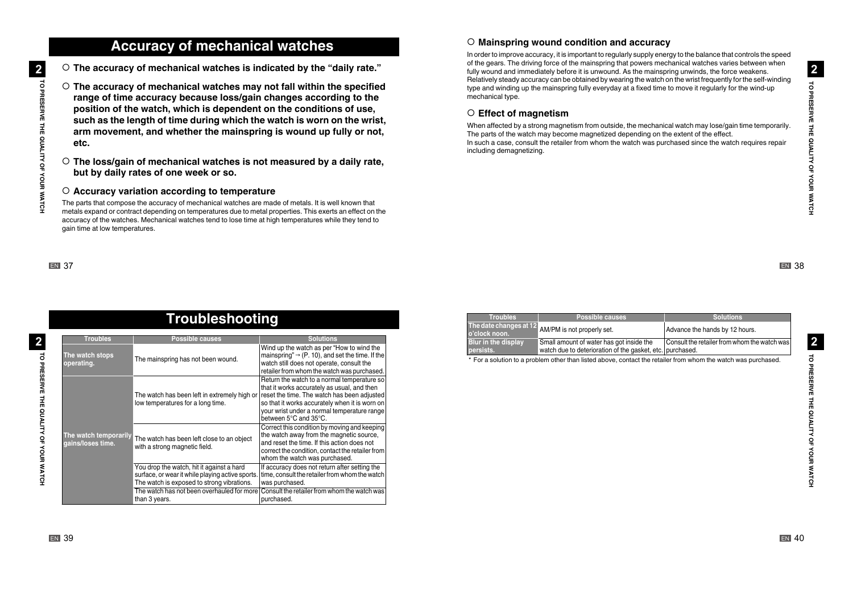## **Accuracy of mechanical watches**

 $\overline{\mathbf{2}}$ **WATCH ROBESERVE THE QUALITY OF YOUR WATCH** TO PRESERVE THE QUALITY OF YOUR WATCH  $\circ$  The accuracy of mechanical watches is indicated by the "daily rate."

- The accuracy of mechanical watches may not fall within the specified range of time accuracy because loss/gain changes according to the position of the watch, which is dependent on the conditions of use, such as the length of time during which the watch is worn on the wrist, arm movement, and whether the mainspring is wound up fully or not, **.etc**
- $\circ$  The loss/gain of mechanical watches is not measured by a daily rate, but by daily rates of one week or so.

### ○ Accuracy variation according to temperature

The parts that compose the accuracy of mechanical watches are made of metals. It is well known that metals expand or contract depending on temperatures due to metal properties. This exerts an effect on the accuracy of the watches. Mechanical watches tend to lose time at high temperatures while they tend to gain time at low temperatures.

### **EN 37**

|                                            | <u>Troubleshooting</u>                                                                                                                      |                                                                                                                                                                                                                                                                     |
|--------------------------------------------|---------------------------------------------------------------------------------------------------------------------------------------------|---------------------------------------------------------------------------------------------------------------------------------------------------------------------------------------------------------------------------------------------------------------------|
| <b>Troubles</b>                            | <b>Possible causes</b>                                                                                                                      | <b>Solutions</b>                                                                                                                                                                                                                                                    |
| The watch stops<br>operating.              | The mainspring has not been wound.                                                                                                          | Wind up the watch as per "How to wind the<br>mainspring" $\rightarrow$ (P. 10), and set the time. If the<br>watch still does not operate, consult the<br>retailer from whom the watch was purchased.                                                                |
|                                            | The watch has been left in extremely high or<br>low temperatures for a long time.                                                           | Return the watch to a normal temperature so<br>that it works accurately as usual, and then<br>reset the time. The watch has been adjusted<br>so that it works accurately when it is worn on<br>vour wrist under a normal temperature range<br>between 5°C and 35°C. |
| The watch temporarily<br>gains/loses time. | The watch has been left close to an object<br>with a strong magnetic field.                                                                 | Correct this condition by moving and keeping<br>the watch away from the magnetic source,<br>and reset the time. If this action does not<br>correct the condition, contact the retailer from<br>whom the watch was purchased.                                        |
|                                            | You drop the watch, hit it against a hard<br>surface, or wear it while playing active sports.<br>The watch is exposed to strong vibrations. | If accuracy does not return after setting the<br>time, consult the retailer from whom the watch<br>was purchased.                                                                                                                                                   |
|                                            | The watch has not been overhauled for more<br>than 3 years.                                                                                 | Consult the retailer from whom the watch was<br>purchased.                                                                                                                                                                                                          |

#### **Solutions Possible causes causes cause in the Solutions The date changes at 12** AM/PM is not properly set.  $\vert$ Advance the hands by 12 hours. **o'clock** noon **Blur in the display .persists** Small amount of water has got inside the watch due to deterioration of the gasket, etc.|purchased. Consult the retailer from whom the watch was

In order to improve accuracy, it is important to regularly supply energy to the balance that controls the speed of the gears. The driving force of the mainspring that powers mechanical watches varies between when fully wound and immediately before it is unwound. As the mainspring unwinds, the force weakens. Relatively steady accuracy can be obtained by wearing the watch on the wrist frequently for the self-winding type and winding up the mainspring fully everyday at a fixed time to move it regularly for the wind-up

When affected by a strong magnetism from outside, the mechanical watch may lose/gain time temporarily.

In such a case, consult the retailer from whom the watch was purchased since the watch requires repair

The parts of the watch may become magnetized depending on the extent of the effect.

 $\circ$  Mainspring wound condition and accuracy

mechanical type.

○ Effect of magnetism

including demagnetizing.

\* For a solution to a problem other than listed above, contact the retailer from whom the watch was purchased.

 $\overline{2}$ WATCH YOUR **NATCH YOUR SERVE THE OF YOUR SAFCE** ಕ PRESERVE THE QUALITY OF YOUR WATCH

**EN** 38

TO PRESERVE THE QUALITY OF YOUR WATCH

**TO PRESERVE THE QUALITY OF YOUR WATCH** 

 $\overline{2}$